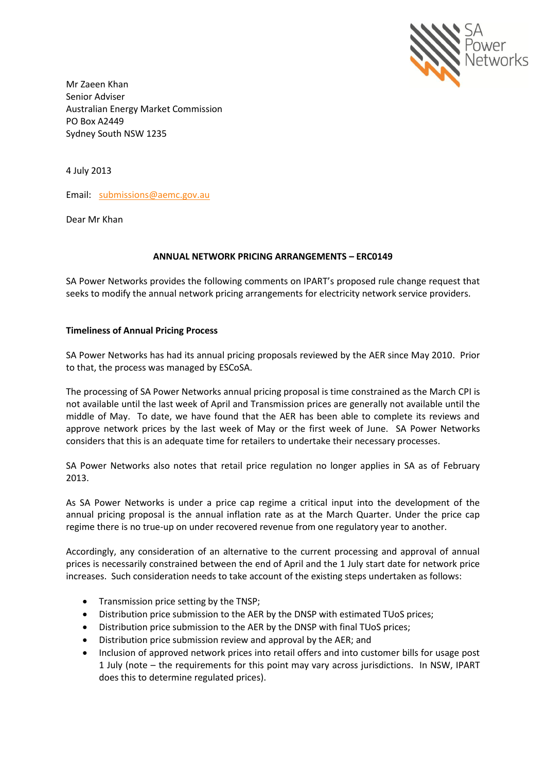

Mr Zaeen Khan Senior Adviser Australian Energy Market Commission PO Box A2449 Sydney South NSW 1235

4 July 2013

Email: [submissions@aemc.gov.au](mailto:submissions@aemc.gov.au)

Dear Mr Khan

### **ANNUAL NETWORK PRICING ARRANGEMENTS – ERC0149**

SA Power Networks provides the following comments on IPART's proposed rule change request that seeks to modify the annual network pricing arrangements for electricity network service providers.

#### **Timeliness of Annual Pricing Process**

SA Power Networks has had its annual pricing proposals reviewed by the AER since May 2010. Prior to that, the process was managed by ESCoSA.

The processing of SA Power Networks annual pricing proposal is time constrained as the March CPI is not available until the last week of April and Transmission prices are generally not available until the middle of May. To date, we have found that the AER has been able to complete its reviews and approve network prices by the last week of May or the first week of June. SA Power Networks considers that this is an adequate time for retailers to undertake their necessary processes.

SA Power Networks also notes that retail price regulation no longer applies in SA as of February 2013.

As SA Power Networks is under a price cap regime a critical input into the development of the annual pricing proposal is the annual inflation rate as at the March Quarter. Under the price cap regime there is no true-up on under recovered revenue from one regulatory year to another.

Accordingly, any consideration of an alternative to the current processing and approval of annual prices is necessarily constrained between the end of April and the 1 July start date for network price increases. Such consideration needs to take account of the existing steps undertaken as follows:

- Transmission price setting by the TNSP;
- Distribution price submission to the AER by the DNSP with estimated TUoS prices;
- Distribution price submission to the AER by the DNSP with final TUoS prices;
- Distribution price submission review and approval by the AER; and
- Inclusion of approved network prices into retail offers and into customer bills for usage post 1 July (note – the requirements for this point may vary across jurisdictions. In NSW, IPART does this to determine regulated prices).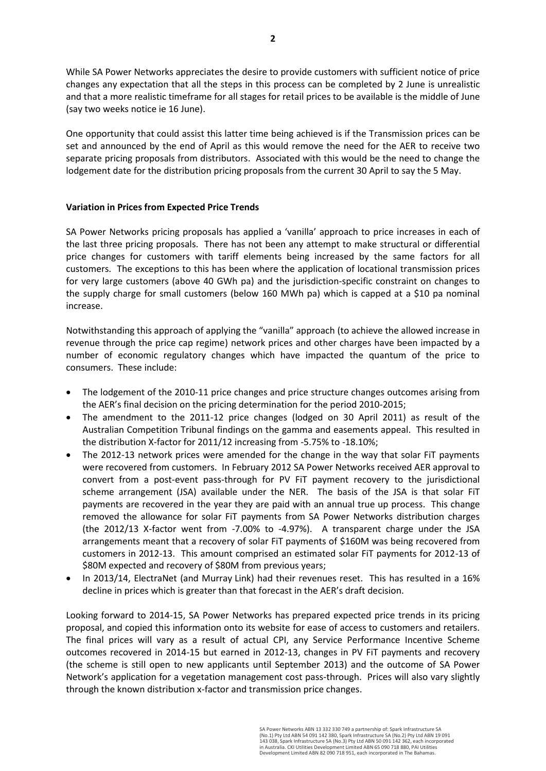While SA Power Networks appreciates the desire to provide customers with sufficient notice of price changes any expectation that all the steps in this process can be completed by 2 June is unrealistic and that a more realistic timeframe for all stages for retail prices to be available is the middle of June (say two weeks notice ie 16 June).

One opportunity that could assist this latter time being achieved is if the Transmission prices can be set and announced by the end of April as this would remove the need for the AER to receive two separate pricing proposals from distributors. Associated with this would be the need to change the lodgement date for the distribution pricing proposals from the current 30 April to say the 5 May.

## **Variation in Prices from Expected Price Trends**

SA Power Networks pricing proposals has applied a 'vanilla' approach to price increases in each of the last three pricing proposals. There has not been any attempt to make structural or differential price changes for customers with tariff elements being increased by the same factors for all customers. The exceptions to this has been where the application of locational transmission prices for very large customers (above 40 GWh pa) and the jurisdiction-specific constraint on changes to the supply charge for small customers (below 160 MWh pa) which is capped at a \$10 pa nominal increase.

Notwithstanding this approach of applying the "vanilla" approach (to achieve the allowed increase in revenue through the price cap regime) network prices and other charges have been impacted by a number of economic regulatory changes which have impacted the quantum of the price to consumers. These include:

- The lodgement of the 2010-11 price changes and price structure changes outcomes arising from the AER's final decision on the pricing determination for the period 2010-2015;
- The amendment to the 2011-12 price changes (lodged on 30 April 2011) as result of the Australian Competition Tribunal findings on the gamma and easements appeal. This resulted in the distribution X-factor for 2011/12 increasing from -5.75% to -18.10%;
- The 2012-13 network prices were amended for the change in the way that solar FiT payments were recovered from customers. In February 2012 SA Power Networks received AER approval to convert from a post-event pass-through for PV FiT payment recovery to the jurisdictional scheme arrangement (JSA) available under the NER. The basis of the JSA is that solar FiT payments are recovered in the year they are paid with an annual true up process. This change removed the allowance for solar FiT payments from SA Power Networks distribution charges (the 2012/13 X-factor went from -7.00% to -4.97%). A transparent charge under the JSA arrangements meant that a recovery of solar FiT payments of \$160M was being recovered from customers in 2012-13. This amount comprised an estimated solar FiT payments for 2012-13 of \$80M expected and recovery of \$80M from previous years;
- In 2013/14, ElectraNet (and Murray Link) had their revenues reset. This has resulted in a 16% decline in prices which is greater than that forecast in the AER's draft decision.

Looking forward to 2014-15, SA Power Networks has prepared expected price trends in its pricing proposal, and copied this information onto its website for ease of access to customers and retailers. The final prices will vary as a result of actual CPI, any Service Performance Incentive Scheme outcomes recovered in 2014-15 but earned in 2012-13, changes in PV FiT payments and recovery (the scheme is still open to new applicants until September 2013) and the outcome of SA Power Network's application for a vegetation management cost pass-through. Prices will also vary slightly through the known distribution x-factor and transmission price changes.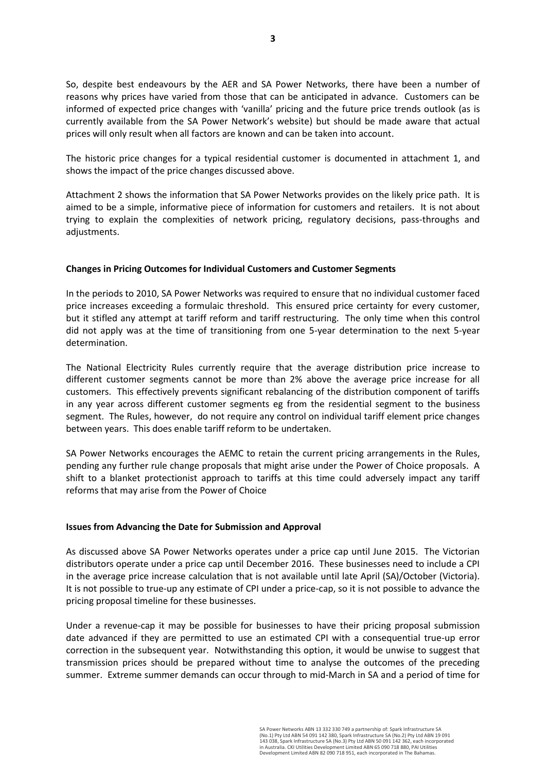So, despite best endeavours by the AER and SA Power Networks, there have been a number of reasons why prices have varied from those that can be anticipated in advance. Customers can be informed of expected price changes with 'vanilla' pricing and the future price trends outlook (as is currently available from the SA Power Network's website) but should be made aware that actual prices will only result when all factors are known and can be taken into account.

The historic price changes for a typical residential customer is documented in attachment 1, and shows the impact of the price changes discussed above.

Attachment 2 shows the information that SA Power Networks provides on the likely price path. It is aimed to be a simple, informative piece of information for customers and retailers. It is not about trying to explain the complexities of network pricing, regulatory decisions, pass-throughs and adjustments.

### **Changes in Pricing Outcomes for Individual Customers and Customer Segments**

In the periods to 2010, SA Power Networks was required to ensure that no individual customer faced price increases exceeding a formulaic threshold. This ensured price certainty for every customer, but it stifled any attempt at tariff reform and tariff restructuring. The only time when this control did not apply was at the time of transitioning from one 5-year determination to the next 5-year determination.

The National Electricity Rules currently require that the average distribution price increase to different customer segments cannot be more than 2% above the average price increase for all customers. This effectively prevents significant rebalancing of the distribution component of tariffs in any year across different customer segments eg from the residential segment to the business segment. The Rules, however, do not require any control on individual tariff element price changes between years. This does enable tariff reform to be undertaken.

SA Power Networks encourages the AEMC to retain the current pricing arrangements in the Rules, pending any further rule change proposals that might arise under the Power of Choice proposals. A shift to a blanket protectionist approach to tariffs at this time could adversely impact any tariff reforms that may arise from the Power of Choice

### **Issues from Advancing the Date for Submission and Approval**

As discussed above SA Power Networks operates under a price cap until June 2015. The Victorian distributors operate under a price cap until December 2016. These businesses need to include a CPI in the average price increase calculation that is not available until late April (SA)/October (Victoria). It is not possible to true-up any estimate of CPI under a price-cap, so it is not possible to advance the pricing proposal timeline for these businesses.

Under a revenue-cap it may be possible for businesses to have their pricing proposal submission date advanced if they are permitted to use an estimated CPI with a consequential true-up error correction in the subsequent year. Notwithstanding this option, it would be unwise to suggest that transmission prices should be prepared without time to analyse the outcomes of the preceding summer. Extreme summer demands can occur through to mid-March in SA and a period of time for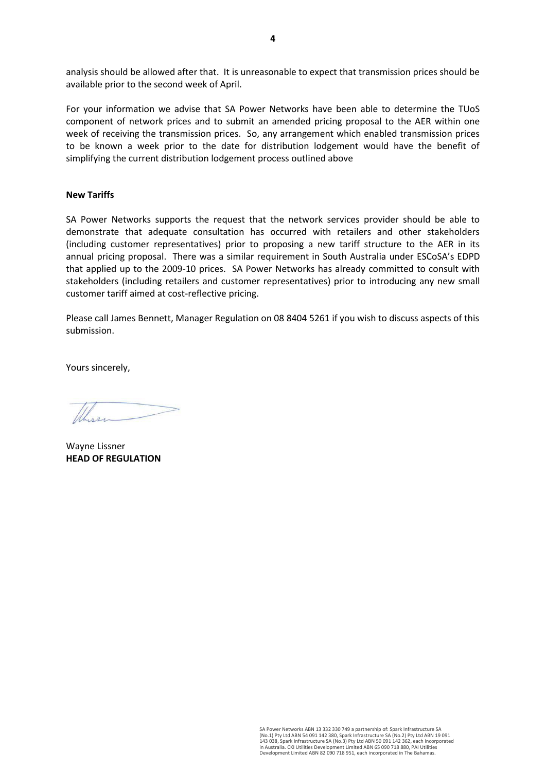analysis should be allowed after that. It is unreasonable to expect that transmission prices should be available prior to the second week of April.

For your information we advise that SA Power Networks have been able to determine the TUoS component of network prices and to submit an amended pricing proposal to the AER within one week of receiving the transmission prices. So, any arrangement which enabled transmission prices to be known a week prior to the date for distribution lodgement would have the benefit of simplifying the current distribution lodgement process outlined above

#### **New Tariffs**

SA Power Networks supports the request that the network services provider should be able to demonstrate that adequate consultation has occurred with retailers and other stakeholders (including customer representatives) prior to proposing a new tariff structure to the AER in its annual pricing proposal. There was a similar requirement in South Australia under ESCoSA's EDPD that applied up to the 2009-10 prices. SA Power Networks has already committed to consult with stakeholders (including retailers and customer representatives) prior to introducing any new small customer tariff aimed at cost-reflective pricing.

Please call James Bennett, Manager Regulation on 08 8404 5261 if you wish to discuss aspects of this submission.

Yours sincerely,

Wayne Lissner **HEAD OF REGULATION**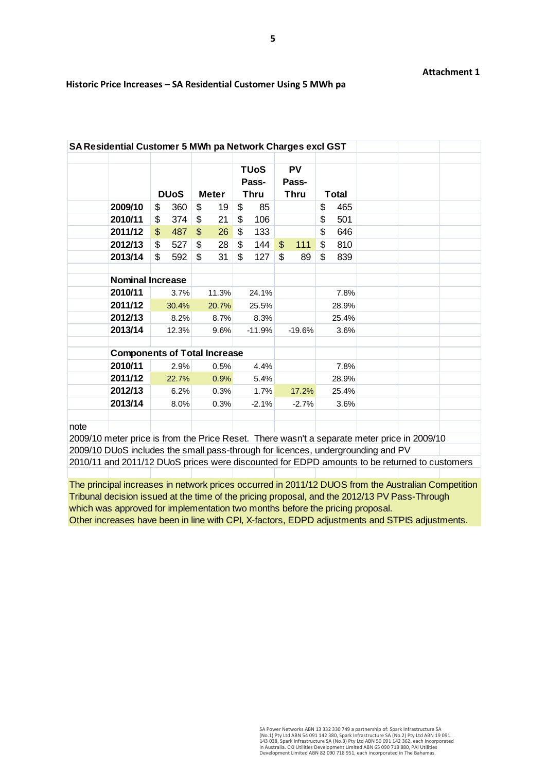#### **Attachment 1**

|                                     |                         |             |                |       | <b>TUoS</b><br>Pass- |          | <b>PV</b><br>Pass- |          |       |       |  |  |
|-------------------------------------|-------------------------|-------------|----------------|-------|----------------------|----------|--------------------|----------|-------|-------|--|--|
|                                     |                         | <b>DUoS</b> | <b>Meter</b>   |       | <b>Thru</b>          |          | <b>Thru</b>        |          | Total |       |  |  |
| 2009/10                             | \$                      | 360         | \$             | 19    | \$                   | 85       |                    |          | \$    | 465   |  |  |
| 2010/11                             | \$                      | 374         | \$             | 21    | \$                   | 106      |                    |          | \$    | 501   |  |  |
| 2011/12                             | $\mathfrak{S}$          | 487         | $\mathfrak{L}$ | 26    | \$                   | 133      |                    |          | \$    | 646   |  |  |
| 2012/13                             | \$                      | 527         | \$             | 28    | \$                   | 144      | $\mathfrak{S}$     | 111      | \$    | 810   |  |  |
| 2013/14                             | \$                      | 592         | \$             | 31    | \$                   | 127      | \$                 | 89       | \$    | 839   |  |  |
|                                     |                         |             |                |       |                      |          |                    |          |       |       |  |  |
|                                     | <b>Nominal Increase</b> |             |                |       |                      |          |                    |          |       |       |  |  |
| 2010/11                             |                         | 3.7%        |                | 11.3% |                      | 24.1%    |                    |          |       | 7.8%  |  |  |
| 2011/12                             |                         | 30.4%       |                | 20.7% |                      | 25.5%    |                    |          |       | 28.9% |  |  |
| 2012/13                             |                         | 8.2%        |                | 8.7%  |                      | 8.3%     |                    |          |       | 25.4% |  |  |
| 2013/14                             |                         | 12.3%       |                | 9.6%  |                      | $-11.9%$ |                    | $-19.6%$ |       | 3.6%  |  |  |
| <b>Components of Total Increase</b> |                         |             |                |       |                      |          |                    |          |       |       |  |  |
| 2010/11                             |                         | 2.9%        |                | 0.5%  |                      | 4.4%     |                    |          |       | 7.8%  |  |  |
| 2011/12                             |                         | 22.7%       |                | 0.9%  |                      | 5.4%     |                    |          |       | 28.9% |  |  |
| 2012/13                             |                         | 6.2%        |                | 0.3%  |                      | 1.7%     |                    | 17.2%    |       | 25.4% |  |  |
| 2013/14                             |                         | 8.0%        |                | 0.3%  |                      | $-2.1%$  |                    | $-2.7%$  |       | 3.6%  |  |  |

#### **Historic Price Increases – SA Residential Customer Using 5 MWh pa**

2009/10 meter price is from the Price Reset. There wasn't a separate meter price in 2009/10 2009/10 DUoS includes the small pass-through for licences, undergrounding and PV 2010/11 and 2011/12 DUoS prices were discounted for EDPD amounts to be returned to customers

The principal increases in network prices occurred in 2011/12 DUOS from the Australian Competition Tribunal decision issued at the time of the pricing proposal, and the 2012/13 PV Pass-Through which was approved for implementation two months before the pricing proposal. Other increases have been in line with CPI, X-factors, EDPD adjustments and STPIS adjustments.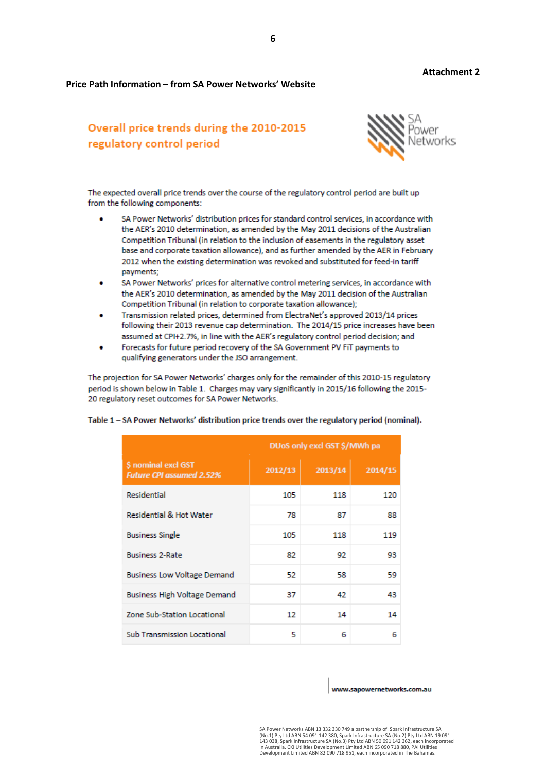**Attachment 2**

#### **Price Path Information – from SA Power Networks' Website**

# Overall price trends during the 2010-2015 regulatory control period



The expected overall price trends over the course of the regulatory control period are built up from the following components:

- SA Power Networks' distribution prices for standard control services, in accordance with the AER's 2010 determination, as amended by the May 2011 decisions of the Australian Competition Tribunal (in relation to the inclusion of easements in the regulatory asset base and corporate taxation allowance), and as further amended by the AER in February 2012 when the existing determination was revoked and substituted for feed-in tariff payments;
- SA Power Networks' prices for alternative control metering services, in accordance with the AER's 2010 determination, as amended by the May 2011 decision of the Australian Competition Tribunal (in relation to corporate taxation allowance);
- Transmission related prices, determined from ElectraNet's approved 2013/14 prices following their 2013 revenue cap determination. The 2014/15 price increases have been assumed at CPI+2.7%, in line with the AER's regulatory control period decision; and
- Forecasts for future period recovery of the SA Government PV FiT payments to qualifying generators under the JSO arrangement.

The projection for SA Power Networks' charges only for the remainder of this 2010-15 regulatory period is shown below in Table 1. Charges may vary significantly in 2015/16 following the 2015-20 regulatory reset outcomes for SA Power Networks.

|                                                        | DUoS only excl GST \$/MWh pa |         |         |  |  |  |
|--------------------------------------------------------|------------------------------|---------|---------|--|--|--|
| \$ nominal excl GST<br><b>Future CPI assumed 2.52%</b> | 2012/13                      | 2013/14 | 2014/15 |  |  |  |
| <b>Residential</b>                                     | 105                          | 118     | 120     |  |  |  |
| <b>Residential &amp; Hot Water</b>                     | 78                           | 87      | 88      |  |  |  |
| <b>Business Single</b>                                 | 105                          | 118     | 119     |  |  |  |
| <b>Business 2-Rate</b>                                 | 82                           | 92      | 93      |  |  |  |
| <b>Business Low Voltage Demand</b>                     | 52                           | 58      | 59      |  |  |  |
| <b>Business High Voltage Demand</b>                    | 37                           | 42      | 43      |  |  |  |
| Zone Sub-Station Locational                            | 12                           | 14      | 14      |  |  |  |
| <b>Sub Transmission Locational</b>                     | 5                            | 6       | 6       |  |  |  |

Table 1 - SA Power Networks' distribution price trends over the regulatory period (nominal).

www.sapowernetworks.com.au

SA Power Networks ABN 13 332 330 749 a partnership of: Spark Infrastructure SA<br>(No.1) Pty Ltd ABN 54 091 142 380, Spark Infrastructure SA (No.2) Pty Ltd ABN 19 091<br>143 038, Spark Infrastructure SA (No.3) Pty Ltd ABN 50 091 in Australia. CKI Utilities Development Limited ABN 65 090 718 880, PAI Utilities Development Limited ABN 82 090 718 951, each incorporated in The Bahamas.